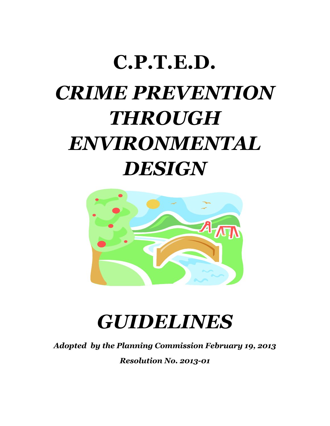# **C.P.T.E.D.** *CRIME PREVENTION THROUGH ENVIRONMENTAL DESIGN*



## *GUIDELINES*

*Adopted by the Planning Commission February 19, 2013*

*Resolution No. 2013-01*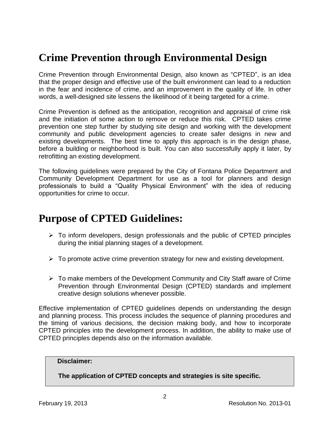## **Crime Prevention through Environmental Design**

Crime Prevention through Environmental Design, also known as "CPTED", is an idea that the proper design and effective use of the built environment can lead to a reduction in the fear and incidence of crime, and an improvement in the quality of life. In other words, a well-designed site lessens the likelihood of it being targeted for a crime.

Crime Prevention is defined as the anticipation, recognition and appraisal of crime risk and the initiation of some action to remove or reduce this risk. CPTED takes crime prevention one step further by studying site design and working with the development community and public development agencies to create safer designs in new and existing developments. The best time to apply this approach is in the design phase, before a building or neighborhood is built. You can also successfully apply it later, by retrofitting an existing development.

The following guidelines were prepared by the City of Fontana Police Department and Community Development Department for use as a tool for planners and design professionals to build a "Quality Physical Environment" with the idea of reducing opportunities for crime to occur.

### **Purpose of CPTED Guidelines:**

- $\triangleright$  To inform developers, design professionals and the public of CPTED principles during the initial planning stages of a development.
- $\triangleright$  To promote active crime prevention strategy for new and existing development.
- $\triangleright$  To make members of the Development Community and City Staff aware of Crime Prevention through Environmental Design (CPTED) standards and implement creative design solutions whenever possible.

Effective implementation of CPTED guidelines depends on understanding the design and planning process. This process includes the sequence of planning procedures and the timing of various decisions, the decision making body, and how to incorporate CPTED principles into the development process. In addition, the ability to make use of CPTED principles depends also on the information available.

#### **Disclaimer:**

**The application of CPTED concepts and strategies is site specific.**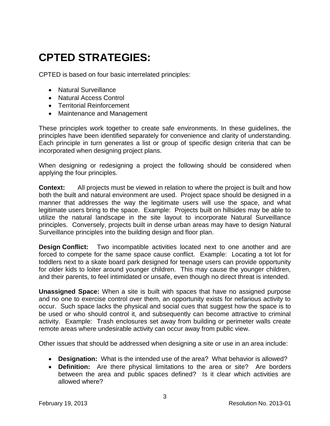## **CPTED STRATEGIES:**

CPTED is based on four basic interrelated principles:

- Natural Surveillance
- Natural Access Control
- Territorial Reinforcement
- Maintenance and Management

These principles work together to create safe environments. In these guidelines, the principles have been identified separately for convenience and clarity of understanding. Each principle in turn generates a list or group of specific design criteria that can be incorporated when designing project plans.

When designing or redesigning a project the following should be considered when applying the four principles.

**Context:** All projects must be viewed in relation to where the project is built and how both the built and natural environment are used. Project space should be designed in a manner that addresses the way the legitimate users will use the space, and what legitimate users bring to the space. Example: Projects built on hillsides may be able to utilize the natural landscape in the site layout to incorporate Natural Surveillance principles. Conversely, projects built in dense urban areas may have to design Natural Surveillance principles into the building design and floor plan.

**Design Conflict:** Two incompatible activities located next to one another and are forced to compete for the same space cause conflict. Example: Locating a tot lot for toddlers next to a skate board park designed for teenage users can provide opportunity for older kids to loiter around younger children. This may cause the younger children, and their parents, to feel intimidated or unsafe, even though no direct threat is intended.

**Unassigned Space:** When a site is built with spaces that have no assigned purpose and no one to exercise control over them, an opportunity exists for nefarious activity to occur. Such space lacks the physical and social cues that suggest how the space is to be used or who should control it, and subsequently can become attractive to criminal activity. Example: Trash enclosures set away from building or perimeter walls create remote areas where undesirable activity can occur away from public view.

Other issues that should be addressed when designing a site or use in an area include:

- **Designation:** What is the intended use of the area? What behavior is allowed?
- **Definition:** Are there physical limitations to the area or site? Are borders between the area and public spaces defined? Is it clear which activities are allowed where?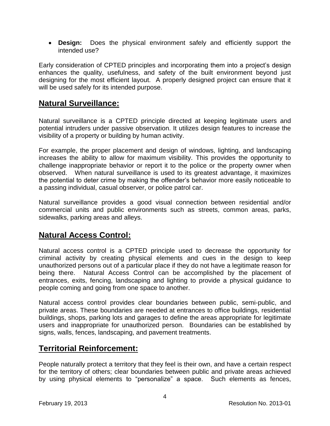**Design:** Does the physical environment safely and efficiently support the intended use?

Early consideration of CPTED principles and incorporating them into a project's design enhances the quality, usefulness, and safety of the built environment beyond just designing for the most efficient layout. A properly designed project can ensure that it will be used safely for its intended purpose.

#### **Natural Surveillance:**

Natural surveillance is a CPTED principle directed at keeping legitimate users and potential intruders under passive observation. It utilizes design features to increase the visibility of a property or building by human activity.

For example, the proper placement and design of windows, lighting, and landscaping increases the ability to allow for maximum visibility. This provides the opportunity to challenge inappropriate behavior or report it to the police or the property owner when observed. When natural surveillance is used to its greatest advantage, it maximizes the potential to deter crime by making the offender's behavior more easily noticeable to a passing individual, casual observer, or police patrol car.

Natural surveillance provides a good visual connection between residential and/or commercial units and public environments such as streets, common areas, parks, sidewalks, parking areas and alleys.

#### **Natural Access Control:**

Natural access control is a CPTED principle used to decrease the opportunity for criminal activity by creating physical elements and cues in the design to keep unauthorized persons out of a particular place if they do not have a legitimate reason for being there. Natural Access Control can be accomplished by the placement of entrances, exits, fencing, landscaping and lighting to provide a physical guidance to people coming and going from one space to another.

Natural access control provides clear boundaries between public, semi-public, and private areas. These boundaries are needed at entrances to office buildings, residential buildings, shops, parking lots and garages to define the areas appropriate for legitimate users and inappropriate for unauthorized person. Boundaries can be established by signs, walls, fences, landscaping, and pavement treatments.

#### **Territorial Reinforcement:**

People naturally protect a territory that they feel is their own, and have a certain respect for the territory of others; clear boundaries between public and private areas achieved by using physical elements to "personalize" a space. Such elements as fences,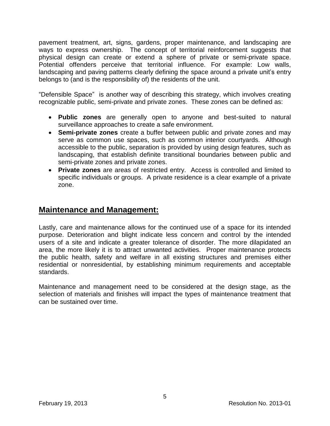pavement treatment, art, signs, gardens, proper maintenance, and landscaping are ways to express ownership. The concept of territorial reinforcement suggests that physical design can create or extend a sphere of private or semi-private space. Potential offenders perceive that territorial influence. For example: Low walls, landscaping and paving patterns clearly defining the space around a private unit's entry belongs to (and is the responsibility of) the residents of the unit.

"Defensible Space" is another way of describing this strategy, which involves creating recognizable public, semi-private and private zones. These zones can be defined as:

- **Public zones** are generally open to anyone and best-suited to natural surveillance approaches to create a safe environment.
- **Semi-private zones** create a buffer between public and private zones and may serve as common use spaces, such as common interior courtyards. Although accessible to the public, separation is provided by using design features, such as landscaping, that establish definite transitional boundaries between public and semi-private zones and private zones.
- **Private zones** are areas of restricted entry. Access is controlled and limited to specific individuals or groups. A private residence is a clear example of a private zone.

#### **Maintenance and Management:**

Lastly, care and maintenance allows for the continued use of a space for its intended purpose. Deterioration and blight indicate less concern and control by the intended users of a site and indicate a greater tolerance of disorder. The more dilapidated an area, the more likely it is to attract unwanted activities. Proper maintenance protects the public health, safety and welfare in all existing structures and premises either residential or nonresidential, by establishing minimum requirements and acceptable standards.

Maintenance and management need to be considered at the design stage, as the selection of materials and finishes will impact the types of maintenance treatment that can be sustained over time.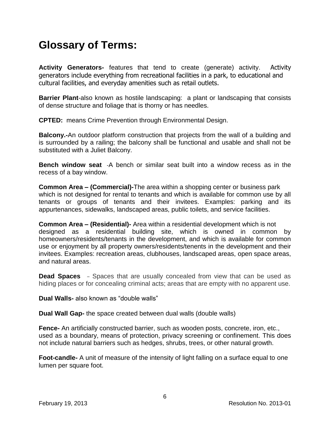## **Glossary of Terms:**

**Activity Generators-** features that tend to create (generate) activity. Activity generators include everything from recreational facilities in a park, to educational and cultural facilities, and everyday amenities such as retail outlets.

**Barrier Plant**-also known as hostile landscaping: a plant or landscaping that consists of dense structure and foliage that is thorny or has needles.

**CPTED:** means Crime Prevention through Environmental Design.

**Balcony.-**An outdoor platform construction that projects from the wall of a building and is surrounded by a railing; the balcony shall be functional and usable and shall not be substituted with a Juliet Balcony.

**Bench window seat** -A bench or similar seat built into a window recess as in the recess of a bay window.

**Common Area – (Commercial)-**The area within a shopping center or business park which is not designed for rental to tenants and which is available for common use by all tenants or groups of tenants and their invitees. Examples: parking and its appurtenances, sidewalks, landscaped areas, public toilets, and service facilities.

**Common Area – (Residential)-** Area within a residential development which is not designed as a residential building site, which is owned in common by homeowners/residents/tenants in the development, and which is available for common use or enjoyment by all property owners/residents/tenents in the development and their invitees. Examples: recreation areas, clubhouses, landscaped areas, open space areas, and natural areas.

**Dead Spaces** – Spaces that are usually concealed from view that can be used as hiding places or for concealing criminal acts; areas that are empty with no apparent use.

**Dual Walls-** also known as "double walls"

**Dual Wall Gap-** the space created between dual walls (double walls)

**Fence-** An artificially constructed barrier, such as wooden posts, concrete, iron, etc., used as a boundary, means of protection, privacy screening or confinement. This does not include natural barriers such as hedges, shrubs, trees, or other natural growth.

**Foot-candle-** A unit of measure of the intensity of light falling on a surface equal to one lumen per square foot.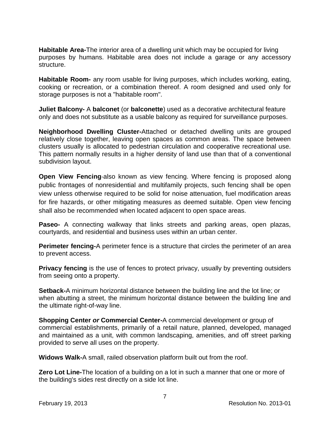**Habitable Area-**The interior area of a dwelling unit which may be occupied for living purposes by humans. Habitable area does not include a garage or any accessory structure.

**Habitable Room-** any room usable for living purposes, which includes working, eating, cooking or recreation, or a combination thereof. A room designed and used only for storage purposes is not a "habitable room".

**Juliet Balcony-** A **balconet** (or **balconette**) used as a decorative architectural feature only and does not substitute as a usable balcony as required for surveillance purposes.

**Neighborhood Dwelling Cluster-**Attached or detached dwelling units are grouped relatively close together, leaving open spaces as common areas. The space between clusters usually is allocated to pedestrian circulation and cooperative recreational use. This pattern normally results in a higher density of land use than that of a conventional subdivision layout.

**Open View Fencing-also known as view fencing. Where fencing is proposed along** public frontages of nonresidential and multifamily projects, such fencing shall be open view unless otherwise required to be solid for noise attenuation, fuel modification areas for fire hazards, or other mitigating measures as deemed suitable. Open view fencing shall also be recommended when located adjacent to open space areas.

**Paseo-** A connecting walkway that links streets and parking areas, open plazas, courtyards, and residential and business uses within an urban center.

**Perimeter fencing-**A perimeter fence is a structure that circles the [perimeter](http://en.wikipedia.org/wiki/Perimeter) of an area to prevent access.

**Privacy fencing** is the use of [fences](http://en.wikipedia.org/wiki/Fences) to protect [privacy,](http://en.wikipedia.org/wiki/Privacy) usually by preventing outsiders from seeing onto a property.

**Setback-**A minimum horizontal distance between the building line and the lot line; or when abutting a street, the minimum horizontal distance between the building line and the ultimate right-of-way line.

**Shopping Center** *or* **Commercial Center-**A commercial development or group of commercial establishments, primarily of a retail nature, planned, developed, managed and maintained as a unit, with common landscaping, amenities, and off street parking provided to serve all uses on the property.

**Widows Walk-**A small, railed observation platform built out from the roof.

**Zero Lot Line-**The location of a building on a lot in such a manner that one or more of the building's sides rest directly on a side lot line.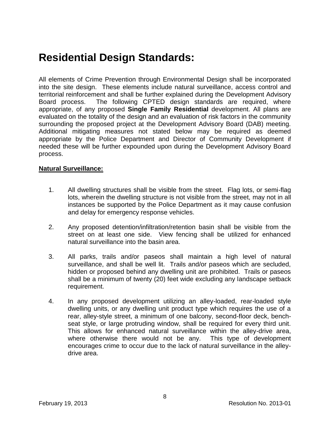## **Residential Design Standards:**

All elements of Crime Prevention through Environmental Design shall be incorporated into the site design. These elements include natural surveillance, access control and territorial reinforcement and shall be further explained during the Development Advisory Board process. The following CPTED design standards are required, where appropriate, of any proposed **Single Family Residential** development. All plans are evaluated on the totality of the design and an evaluation of risk factors in the community surrounding the proposed project at the Development Advisory Board (DAB) meeting. Additional mitigating measures not stated below may be required as deemed appropriate by the Police Department and Director of Community Development if needed these will be further expounded upon during the Development Advisory Board process.

#### **Natural Surveillance:**

- 1. All dwelling structures shall be visible from the street. Flag lots, or semi-flag lots, wherein the dwelling structure is not visible from the street, may not in all instances be supported by the Police Department as it may cause confusion and delay for emergency response vehicles.
- 2. Any proposed detention/infiltration/retention basin shall be visible from the street on at least one side. View fencing shall be utilized for enhanced natural surveillance into the basin area.
- 3. All parks, trails and/or paseos shall maintain a high level of natural surveillance, and shall be well lit. Trails and/or paseos which are secluded, hidden or proposed behind any dwelling unit are prohibited. Trails or paseos shall be a minimum of twenty (20) feet wide excluding any landscape setback requirement.
- 4. In any proposed development utilizing an alley-loaded, rear-loaded style dwelling units, or any dwelling unit product type which requires the use of a rear, alley-style street, a minimum of one balcony, second-floor deck, benchseat style, or large protruding window, shall be required for every third unit. This allows for enhanced natural surveillance within the alley-drive area, where otherwise there would not be any. This type of development encourages crime to occur due to the lack of natural surveillance in the alleydrive area.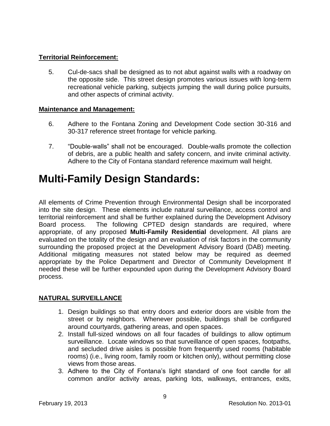#### **Territorial Reinforcement:**

5. Cul-de-sacs shall be designed as to not abut against walls with a roadway on the opposite side. This street design promotes various issues with long-term recreational vehicle parking, subjects jumping the wall during police pursuits, and other aspects of criminal activity.

#### **Maintenance and Management:**

- 6. Adhere to the Fontana Zoning and Development Code section 30-316 and 30-317 reference street frontage for vehicle parking.
- 7. "Double-walls" shall not be encouraged. Double-walls promote the collection of debris, are a public health and safety concern, and invite criminal activity. Adhere to the City of Fontana standard reference maximum wall height.

## **Multi-Family Design Standards:**

All elements of Crime Prevention through Environmental Design shall be incorporated into the site design. These elements include natural surveillance, access control and territorial reinforcement and shall be further explained during the Development Advisory Board process. The following CPTED design standards are required, where appropriate, of any proposed **Multi-Family Residential** development. All plans are evaluated on the totality of the design and an evaluation of risk factors in the community surrounding the proposed project at the Development Advisory Board (DAB) meeting. Additional mitigating measures not stated below may be required as deemed appropriate by the Police Department and Director of Community Development If needed these will be further expounded upon during the Development Advisory Board process.

#### **NATURAL SURVEILLANCE**

- 1. Design buildings so that entry doors and exterior doors are visible from the street or by neighbors. Whenever possible, buildings shall be configured around courtyards, gathering areas, and open spaces.
- 2. Install full-sized windows on all four facades of buildings to allow optimum surveillance. Locate windows so that surveillance of open spaces, footpaths, and secluded drive aisles is possible from frequently used rooms (habitable rooms) (i.e., living room, family room or kitchen only), without permitting close views from those areas.
- 3. Adhere to the City of Fontana's light standard of one foot candle for all common and/or activity areas, parking lots, walkways, entrances, exits,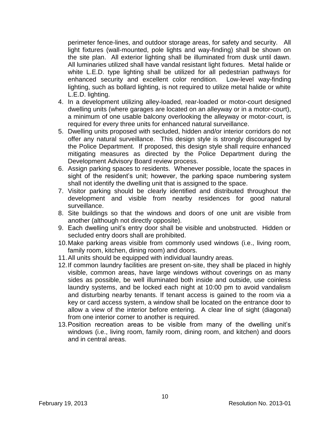perimeter fence-lines, and outdoor storage areas, for safety and security. All light fixtures (wall-mounted, pole lights and way-finding) shall be shown on the site plan. All exterior lighting shall be illuminated from dusk until dawn. All luminaries utilized shall have vandal resistant light fixtures. Metal halide or white L.E.D. type lighting shall be utilized for all pedestrian pathways for enhanced security and excellent color rendition. Low-level way-finding lighting, such as bollard lighting, is not required to utilize metal halide or white L.E.D. lighting.

- 4. In a development utilizing alley-loaded, rear-loaded or motor-court designed dwelling units (where garages are located on an alleyway or in a motor-court), a minimum of one usable balcony overlooking the alleyway or motor-court, is required for every three units for enhanced natural surveillance.
- 5. Dwelling units proposed with secluded, hidden and/or interior corridors do not offer any natural surveillance. This design style is strongly discouraged by the Police Department. If proposed, this design style shall require enhanced mitigating measures as directed by the Police Department during the Development Advisory Board review process.
- 6. Assign parking spaces to residents. Whenever possible, locate the spaces in sight of the resident's unit; however, the parking space numbering system shall not identify the dwelling unit that is assigned to the space.
- 7. Visitor parking should be clearly identified and distributed throughout the development and visible from nearby residences for good natural surveillance.
- 8. Site buildings so that the windows and doors of one unit are visible from another (although not directly opposite).
- 9. Each dwelling unit's entry door shall be visible and unobstructed. Hidden or secluded entry doors shall are prohibited.
- 10.Make parking areas visible from commonly used windows (i.e., living room, family room, kitchen, dining room) and doors.
- 11.All units should be equipped with individual laundry areas.
- 12.If common laundry facilities are present on-site, they shall be placed in highly visible, common areas, have large windows without coverings on as many sides as possible, be well illuminated both inside and outside, use coinless laundry systems, and be locked each night at 10:00 pm to avoid vandalism and disturbing nearby tenants. If tenant access is gained to the room via a key or card access system, a window shall be located on the entrance door to allow a view of the interior before entering. A clear line of sight (diagonal) from one interior corner to another is required.
- 13.Position recreation areas to be visible from many of the dwelling unit's windows (i.e., living room, family room, dining room, and kitchen) and doors and in central areas.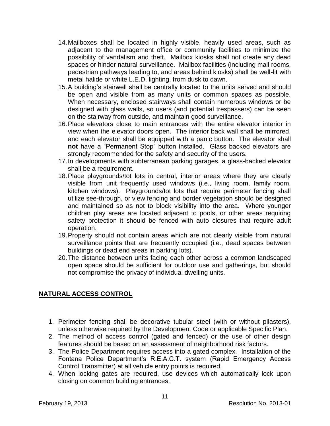- 14.Mailboxes shall be located in highly visible, heavily used areas, such as adjacent to the management office or community facilities to minimize the possibility of vandalism and theft. Mailbox kiosks shall not create any dead spaces or hinder natural surveillance. Mailbox facilities (including mail rooms, pedestrian pathways leading to, and areas behind kiosks) shall be well-lit with metal halide or white L.E.D. lighting, from dusk to dawn.
- 15.A building's stairwell shall be centrally located to the units served and should be open and visible from as many units or common spaces as possible. When necessary, enclosed stairways shall contain numerous windows or be designed with glass walls, so users (and potential trespassers) can be seen on the stairway from outside, and maintain good surveillance.
- 16.Place elevators close to main entrances with the entire elevator interior in view when the elevator doors open. The interior back wall shall be mirrored, and each elevator shall be equipped with a panic button. The elevator shall **not** have a "Permanent Stop" button installed. Glass backed elevators are strongly recommended for the safety and security of the users.
- 17.In developments with subterranean parking garages, a glass-backed elevator shall be a requirement.
- 18.Place playgrounds/tot lots in central, interior areas where they are clearly visible from unit frequently used windows (i.e., living room, family room, kitchen windows). Playgrounds/tot lots that require perimeter fencing shall utilize see-through, or view fencing and border vegetation should be designed and maintained so as not to block visibility into the area. Where younger children play areas are located adjacent to pools, or other areas requiring safety protection it should be fenced with auto closures that require adult operation.
- 19.Property should not contain areas which are not clearly visible from natural surveillance points that are frequently occupied (i.e., dead spaces between buildings or dead end areas in parking lots).
- 20.The distance between units facing each other across a common landscaped open space should be sufficient for outdoor use and gatherings, but should not compromise the privacy of individual dwelling units.

#### **NATURAL ACCESS CONTROL**

- 1. Perimeter fencing shall be decorative tubular steel (with or without pilasters), unless otherwise required by the Development Code or applicable Specific Plan.
- 2. The method of access control (gated and fenced) or the use of other design features should be based on an assessment of neighborhood risk factors.
- 3. The Police Department requires access into a gated complex. Installation of the Fontana Police Department's R.E.A.C.T. system (Rapid Emergency Access Control Transmitter) at all vehicle entry points is required.
- 4. When locking gates are required, use devices which automatically lock upon closing on common building entrances.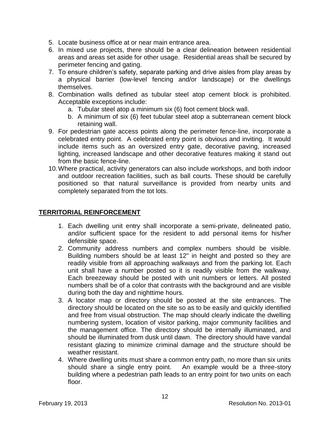- 5. Locate business office at or near main entrance area.
- 6. In mixed use projects, there should be a clear delineation between residential areas and areas set aside for other usage. Residential areas shall be secured by perimeter fencing and gating.
- 7. To ensure children's safety, separate parking and drive aisles from play areas by a physical barrier (low-level fencing and/or landscape) or the dwellings themselves.
- 8. Combination walls defined as tubular steel atop cement block is prohibited. Acceptable exceptions include:
	- a. Tubular steel atop a minimum six (6) foot cement block wall.
	- b. A minimum of six (6) feet tubular steel atop a subterranean cement block retaining wall.
- 9. For pedestrian gate access points along the perimeter fence-line, incorporate a celebrated entry point. A celebrated entry point is obvious and inviting. It would include items such as an oversized entry gate, decorative paving, increased lighting, increased landscape and other decorative features making it stand out from the basic fence-line.
- 10.Where practical, activity generators can also include workshops, and both indoor and outdoor recreation facilities, such as ball courts. These should be carefully positioned so that natural surveillance is provided from nearby units and completely separated from the tot lots.

#### **TERRITORIAL REINFORCEMENT**

- 1. Each dwelling unit entry shall incorporate a semi-private, delineated patio, and/or sufficient space for the resident to add personal items for his/her defensible space.
- 2. Community address numbers and complex numbers should be visible. Building numbers should be at least 12" in height and posted so they are readily visible from all approaching walkways and from the parking lot. Each unit shall have a number posted so it is readily visible from the walkway. Each breezeway should be posted with unit numbers or letters. All posted numbers shall be of a color that contrasts with the background and are visible during both the day and nighttime hours.
- 3. A locator map or directory should be posted at the site entrances. The directory should be located on the site so as to be easily and quickly identified and free from visual obstruction. The map should clearly indicate the dwelling numbering system, location of visitor parking, major community facilities and the management office. The directory should be internally illuminated, and should be illuminated from dusk until dawn. The directory should have vandal resistant glazing to minimize criminal damage and the structure should be weather resistant.
- 4. Where dwelling units must share a common entry path, no more than six units should share a single entry point. An example would be a three-story building where a pedestrian path leads to an entry point for two units on each floor.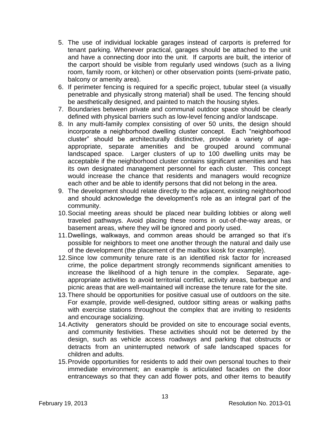- 5. The use of individual lockable garages instead of carports is preferred for tenant parking. Whenever practical, garages should be attached to the unit and have a connecting door into the unit. If carports are built, the interior of the carport should be visible from regularly used windows (such as a living room, family room, or kitchen) or other observation points (semi-private patio, balcony or amenity area).
- 6. If perimeter fencing is required for a specific project, tubular steel (a visually penetrable and physically strong material) shall be used. The fencing should be aesthetically designed, and painted to match the housing styles.
- 7. Boundaries between private and communal outdoor space should be clearly defined with physical barriers such as low-level fencing and/or landscape.
- 8. In any multi-family complex consisting of over 50 units, the design should incorporate a neighborhood dwelling cluster concept. Each "neighborhood cluster" should be architecturally distinctive, provide a variety of ageappropriate, separate amenities and be grouped around communal landscaped space. Larger clusters of up to 100 dwelling units may be acceptable if the neighborhood cluster contains significant amenities and has its own designated management personnel for each cluster. This concept would increase the chance that residents and managers would recognize each other and be able to identify persons that did not belong in the area.
- 9. The development should relate directly to the adjacent, existing neighborhood and should acknowledge the development's role as an integral part of the community.
- 10.Social meeting areas should be placed near building lobbies or along well traveled pathways. Avoid placing these rooms in out-of-the-way areas, or basement areas, where they will be ignored and poorly used.
- 11.Dwellings, walkways, and common areas should be arranged so that it's possible for neighbors to meet one another through the natural and daily use of the development (the placement of the mailbox kiosk for example).
- 12.Since low community tenure rate is an identified risk factor for increased crime, the police department strongly recommends significant amenities to increase the likelihood of a high tenure in the complex. Separate, ageappropriate activities to avoid territorial conflict, activity areas, barbeque and picnic areas that are well-maintained will increase the tenure rate for the site.
- 13.There should be opportunities for positive casual use of outdoors on the site. For example, provide well-designed, outdoor sitting areas or walking paths with exercise stations throughout the complex that are inviting to residents and encourage socializing.
- 14.Activity generators should be provided on site to encourage social events, and community festivities. These activities should not be deterred by the design, such as vehicle access roadways and parking that obstructs or detracts from an uninterrupted network of safe landscaped spaces for children and adults.
- 15.Provide opportunities for residents to add their own personal touches to their immediate environment; an example is articulated facades on the door entranceways so that they can add flower pots, and other items to beautify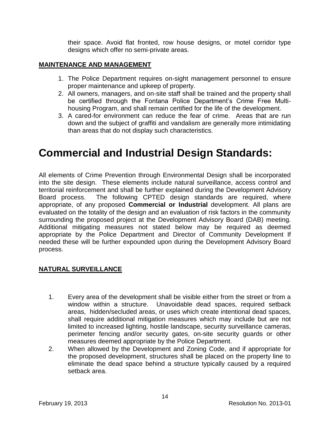their space. Avoid flat fronted, row house designs, or motel corridor type designs which offer no semi-private areas.

#### **MAINTENANCE AND MANAGEMENT**

- 1. The Police Department requires on-sight management personnel to ensure proper maintenance and upkeep of property.
- 2. All owners, managers, and on-site staff shall be trained and the property shall be certified through the Fontana Police Department's Crime Free Multihousing Program, and shall remain certified for the life of the development.
- 3. A cared-for environment can reduce the fear of crime. Areas that are run down and the subject of graffiti and vandalism are generally more intimidating than areas that do not display such characteristics.

## **Commercial and Industrial Design Standards:**

All elements of Crime Prevention through Environmental Design shall be incorporated into the site design. These elements include natural surveillance, access control and territorial reinforcement and shall be further explained during the Development Advisory Board process. The following CPTED design standards are required, where appropriate, of any proposed **Commercial or Industrial** development. All plans are evaluated on the totality of the design and an evaluation of risk factors in the community surrounding the proposed project at the Development Advisory Board (DAB) meeting. Additional mitigating measures not stated below may be required as deemed appropriate by the Police Department and Director of Community Development If needed these will be further expounded upon during the Development Advisory Board process.

#### **NATURAL SURVEILLANCE**

- 1. Every area of the development shall be visible either from the street or from a window within a structure. Unavoidable dead spaces, required setback areas, hidden/secluded areas, or uses which create intentional dead spaces, shall require additional mitigation measures which may include but are not limited to increased lighting, hostile landscape, security surveillance cameras, perimeter fencing and/or security gates, on-site security guards or other measures deemed appropriate by the Police Department.
- 2. When allowed by the Development and Zoning Code, and if appropriate for the proposed development, structures shall be placed on the property line to eliminate the dead space behind a structure typically caused by a required setback area.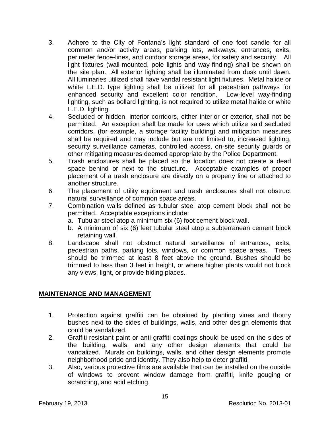- 3. Adhere to the City of Fontana's light standard of one foot candle for all common and/or activity areas, parking lots, walkways, entrances, exits, perimeter fence-lines, and outdoor storage areas, for safety and security. All light fixtures (wall-mounted, pole lights and way-finding) shall be shown on the site plan. All exterior lighting shall be illuminated from dusk until dawn. All luminaries utilized shall have vandal resistant light fixtures. Metal halide or white L.E.D. type lighting shall be utilized for all pedestrian pathways for enhanced security and excellent color rendition. Low-level way-finding lighting, such as bollard lighting, is not required to utilize metal halide or white L.E.D. lighting.
- 4. Secluded or hidden, interior corridors, either interior or exterior, shall not be permitted. An exception shall be made for uses which utilize said secluded corridors, (for example, a storage facility building) and mitigation measures shall be required and may include but are not limited to, increased lighting, security surveillance cameras, controlled access, on-site security quards or other mitigating measures deemed appropriate by the Police Department.
- 5. Trash enclosures shall be placed so the location does not create a dead space behind or next to the structure. Acceptable examples of proper placement of a trash enclosure are directly on a property line or attached to another structure.
- 6. The placement of utility equipment and trash enclosures shall not obstruct natural surveillance of common space areas.
- 7. Combination walls defined as tubular steel atop cement block shall not be permitted. Acceptable exceptions include:
	- a. Tubular steel atop a minimum six (6) foot cement block wall.
	- b. A minimum of six (6) feet tubular steel atop a subterranean cement block retaining wall.
- 8. Landscape shall not obstruct natural surveillance of entrances, exits, pedestrian paths, parking lots, windows, or common space areas. Trees should be trimmed at least 8 feet above the ground. Bushes should be trimmed to less than 3 feet in height, or where higher plants would not block any views, light, or provide hiding places.

#### **MAINTENANCE AND MANAGEMENT**

- 1. Protection against graffiti can be obtained by planting vines and thorny bushes next to the sides of buildings, walls, and other design elements that could be vandalized.
- 2. Graffiti-resistant paint or anti-graffiti coatings should be used on the sides of the building, walls, and any other design elements that could be vandalized. Murals on buildings, walls, and other design elements promote neighborhood pride and identity. They also help to deter graffiti.
- 3. Also, various protective films are available that can be installed on the outside of windows to prevent window damage from graffiti, knife gouging or scratching, and acid etching.